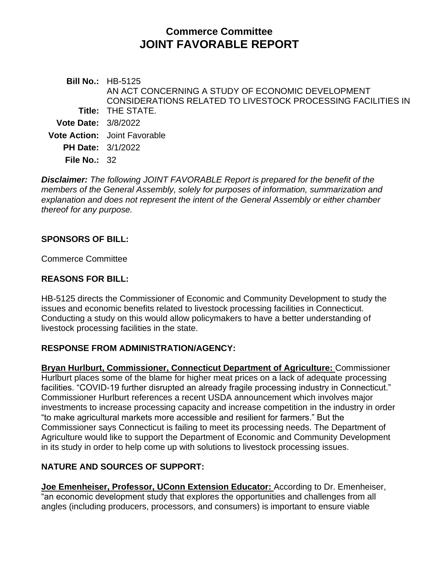# **Commerce Committee JOINT FAVORABLE REPORT**

**Bill No.:** HB-5125 **Title:** THE STATE. AN ACT CONCERNING A STUDY OF ECONOMIC DEVELOPMENT CONSIDERATIONS RELATED TO LIVESTOCK PROCESSING FACILITIES IN **Vote Date:** 3/8/2022 **Vote Action:** Joint Favorable **PH Date:** 3/1/2022 **File No.:** 32

*Disclaimer: The following JOINT FAVORABLE Report is prepared for the benefit of the members of the General Assembly, solely for purposes of information, summarization and explanation and does not represent the intent of the General Assembly or either chamber thereof for any purpose.*

## **SPONSORS OF BILL:**

Commerce Committee

#### **REASONS FOR BILL:**

HB-5125 directs the Commissioner of Economic and Community Development to study the issues and economic benefits related to livestock processing facilities in Connecticut. Conducting a study on this would allow policymakers to have a better understanding of livestock processing facilities in the state.

#### **RESPONSE FROM ADMINISTRATION/AGENCY:**

**Bryan Hurlburt, Commissioner, Connecticut Department of Agriculture:** Commissioner Hurlburt places some of the blame for higher meat prices on a lack of adequate processing facilities. "COVID-19 further disrupted an already fragile processing industry in Connecticut." Commissioner Hurlburt references a recent USDA announcement which involves major investments to increase processing capacity and increase competition in the industry in order "to make agricultural markets more accessible and resilient for farmers." But the Commissioner says Connecticut is failing to meet its processing needs. The Department of Agriculture would like to support the Department of Economic and Community Development in its study in order to help come up with solutions to livestock processing issues.

## **NATURE AND SOURCES OF SUPPORT:**

**Joe Emenheiser, Professor, UConn Extension Educator:** According to Dr. Emenheiser, "an economic development study that explores the opportunities and challenges from all angles (including producers, processors, and consumers) is important to ensure viable